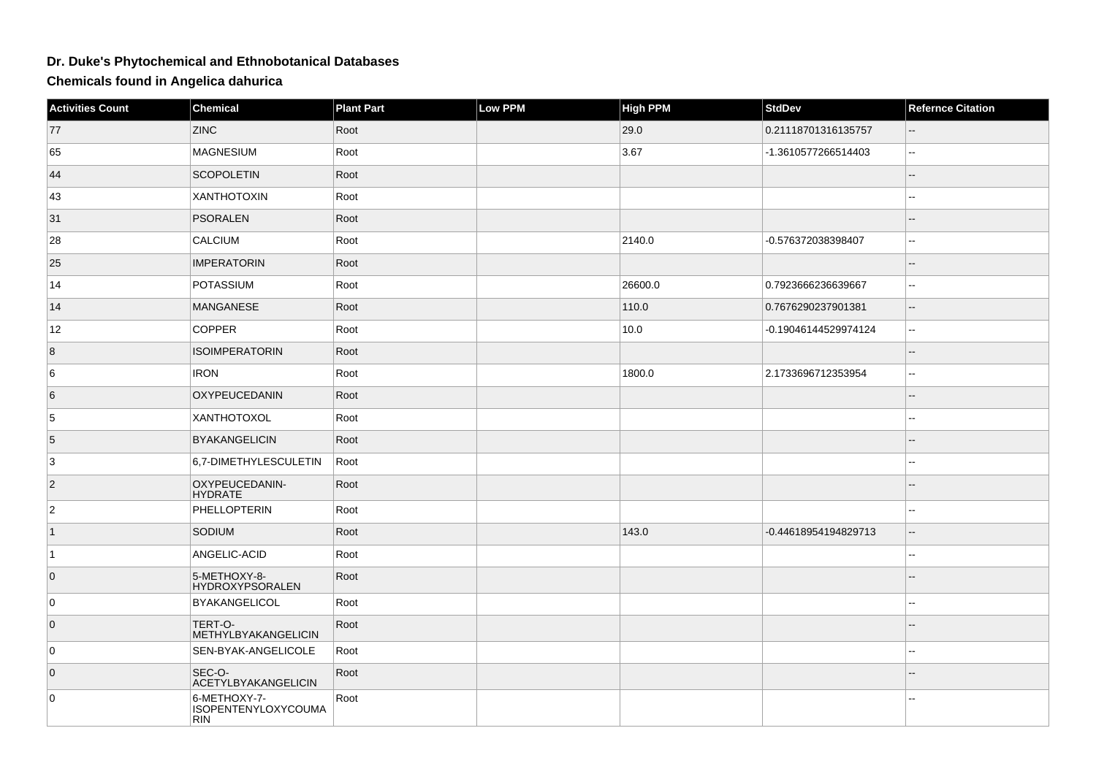## **Dr. Duke's Phytochemical and Ethnobotanical Databases**

**Chemicals found in Angelica dahurica**

| <b>Activities Count</b> | Chemical                                                 | <b>Plant Part</b> | Low PPM | <b>High PPM</b> | <b>StdDev</b>        | <b>Refernce Citation</b> |
|-------------------------|----------------------------------------------------------|-------------------|---------|-----------------|----------------------|--------------------------|
| 77                      | <b>ZINC</b>                                              | Root              |         | 29.0            | 0.21118701316135757  | $\sim$ $\sim$            |
| 65                      | <b>MAGNESIUM</b>                                         | Root              |         | 3.67            | -1.3610577266514403  | $\sim$                   |
| 44                      | <b>SCOPOLETIN</b>                                        | Root              |         |                 |                      | $\overline{a}$           |
| 43                      | <b>XANTHOTOXIN</b>                                       | Root              |         |                 |                      | ۵.                       |
| 31                      | <b>PSORALEN</b>                                          | Root              |         |                 |                      | --                       |
| 28                      | <b>CALCIUM</b>                                           | Root              |         | 2140.0          | -0.576372038398407   | Ξ.                       |
| 25                      | <b>IMPERATORIN</b>                                       | Root              |         |                 |                      |                          |
| 14                      | POTASSIUM                                                | Root              |         | 26600.0         | 0.7923666236639667   | $\overline{a}$           |
| 14                      | <b>MANGANESE</b>                                         | Root              |         | 110.0           | 0.7676290237901381   | $\sim$                   |
| 12                      | <b>COPPER</b>                                            | Root              |         | 10.0            | -0.19046144529974124 | $\sim$                   |
| 8                       | <b>ISOIMPERATORIN</b>                                    | Root              |         |                 |                      | $\overline{\phantom{a}}$ |
| 6                       | <b>IRON</b>                                              | Root              |         | 1800.0          | 2.1733696712353954   | $\sim$                   |
| 6                       | OXYPEUCEDANIN                                            | Root              |         |                 |                      | $-$                      |
| 5                       | XANTHOTOXOL                                              | Root              |         |                 |                      | $\overline{a}$           |
| 5                       | <b>BYAKANGELICIN</b>                                     | Root              |         |                 |                      |                          |
| 3                       | 6,7-DIMETHYLESCULETIN                                    | Root              |         |                 |                      | --                       |
| $\overline{2}$          | OXYPEUCEDANIN-<br><b>HYDRATE</b>                         | Root              |         |                 |                      |                          |
| $\overline{2}$          | PHELLOPTERIN                                             | Root              |         |                 |                      | --                       |
| $\vert$ 1               | SODIUM                                                   | Root              |         | 143.0           | -0.44618954194829713 | $\qquad \qquad -$        |
| $\vert$ 1               | ANGELIC-ACID                                             | Root              |         |                 |                      | $\sim$                   |
| $\overline{0}$          | 5-METHOXY-8-<br><b>HYDROXYPSORALEN</b>                   | Root              |         |                 |                      |                          |
| 0                       | <b>BYAKANGELICOL</b>                                     | Root              |         |                 |                      | $-$                      |
| $\overline{0}$          | TERT-O-<br><b>METHYLBYAKANGELICIN</b>                    | Root              |         |                 |                      |                          |
| 0                       | SEN-BYAK-ANGELICOLE                                      | Root              |         |                 |                      | $\overline{a}$           |
| $\overline{0}$          | SEC-O-<br>ACETYLBYAKANGELICIN                            | Root              |         |                 |                      |                          |
| $\mathsf 0$             | 6-METHOXY-7-<br><b>ISOPENTENYLOXYCOUMA</b><br><b>RIN</b> | Root              |         |                 |                      | $\overline{\phantom{a}}$ |